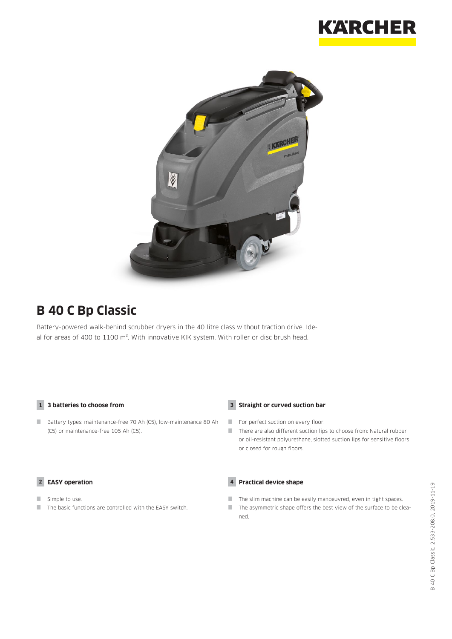



## **B 40 C Bp Classic**

Battery-powered walk-behind scrubber dryers in the 40 litre class without traction drive. Ideal for areas of 400 to 1100 m<sup>2</sup>. With innovative KIK system. With roller or disc brush head.

#### **1 3 batteries to choose from**

Battery types: maintenance-free 70 Ah (C5), low-maintenance 80 Ah (C5) or maintenance-free 105 Ah (C5).

#### **2 EASY operation**

- Simple to use.
- $\blacksquare$  The basic functions are controlled with the EASY switch.

#### **3 Straight or curved suction bar**

- For perfect suction on every floor.
- There are also different suction lips to choose from: Natural rubber or oil-resistant polyurethane, slotted suction lips for sensitive floors or closed for rough floors.

#### **4 Practical device shape**

- The slim machine can be easily manoeuvred, even in tight spaces.
- $\Box$  The asymmetric shape offers the best view of the surface to be cleaned.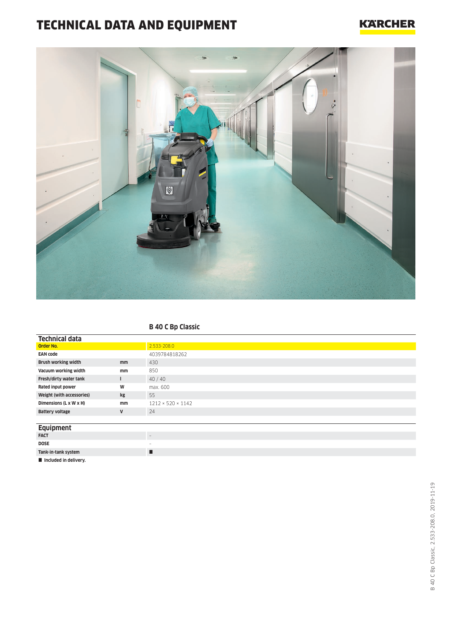# TECHNICAL DATA AND EQUIPMENT

### **KARCHER**



#### **B 40 C Bp Classic**

| <b>Technical data</b>      |    |                               |
|----------------------------|----|-------------------------------|
| Order No.                  |    | 2.533-208.0                   |
| <b>EAN code</b>            |    | 4039784818262                 |
| <b>Brush working width</b> | mm | 430                           |
| Vacuum working width       | mm | 850                           |
| Fresh/dirty water tank     |    | 40/40                         |
| Rated input power          | W  | max. 600                      |
| Weight (with accessories)  | kg | 55                            |
| Dimensions (L x W x H)     | mm | $1212 \times 520 \times 1142$ |
| <b>Battery voltage</b>     | V  | 24                            |
|                            |    |                               |
| <b>Equipment</b>           |    |                               |
| <b>FACT</b>                |    | $\overline{\phantom{a}}$      |
| <b>DOSE</b>                |    | $\qquad \qquad =$             |
| Tank-in-tank system        |    | п                             |
| Included in delivery.      |    |                               |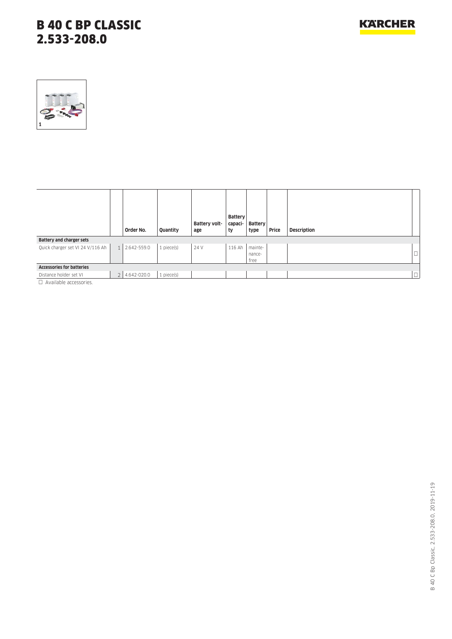

|                                  | Order No.     | Quantity   | Battery volt-<br>age | <b>Battery</b><br>capaci-<br>ty | <b>Battery</b><br>type    | Price | Description |         |
|----------------------------------|---------------|------------|----------------------|---------------------------------|---------------------------|-------|-------------|---------|
| Battery and charger sets         |               |            |                      |                                 |                           |       |             |         |
| Quick charger set VI 24 V/116 Ah | 1 2.642-559.0 | 1 piece(s) | 24 V                 | 116 Ah                          | mainte-<br>nance-<br>free |       |             | L.<br>ш |
| <b>Accessories for batteries</b> |               |            |                      |                                 |                           |       |             |         |
| Distance holder set VI           | 2 4.642-020.0 | 1 piece(s) |                      |                                 |                           |       |             | $\Box$  |
| $\Box$ Available accessories.    |               |            |                      |                                 |                           |       |             |         |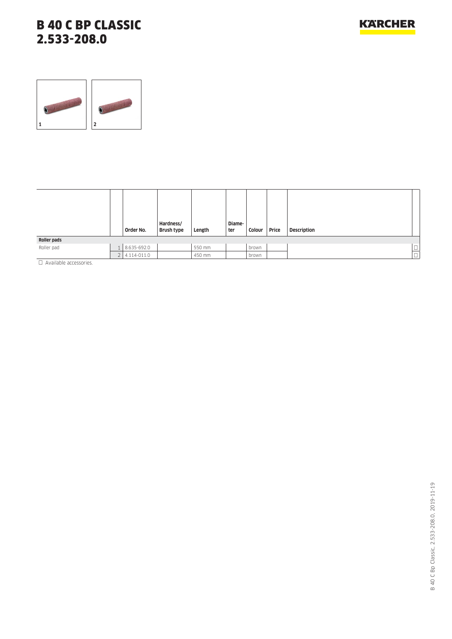

|                                                                                                                 |                | Order No.   | Hardness/<br><b>Brush type</b> | Length | Diame-<br>ter | Colour | Price | <b>Description</b> |                     |
|-----------------------------------------------------------------------------------------------------------------|----------------|-------------|--------------------------------|--------|---------------|--------|-------|--------------------|---------------------|
| Roller pads                                                                                                     |                |             |                                |        |               |        |       |                    |                     |
| Roller pad                                                                                                      |                | 8.635-692.0 |                                | 550 mm |               | brown  |       |                    | $\frac{\Box}{\Box}$ |
|                                                                                                                 | $\overline{ }$ | 4.114-011.0 |                                | 450 mm |               | brown  |       |                    |                     |
| the contract of the contract of the contract of the contract of the contract of the contract of the contract of |                |             |                                |        |               |        |       |                    |                     |

Available accessories.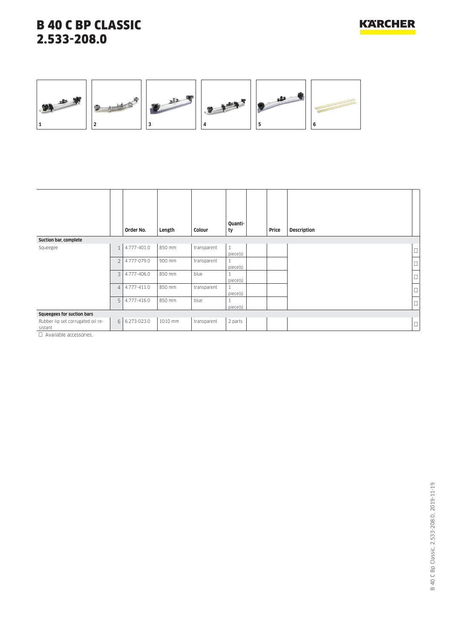



|                                                                                             |                | Order No.   | Length  | Colour      | Quanti-<br>ty            | Price | <b>Description</b> |        |
|---------------------------------------------------------------------------------------------|----------------|-------------|---------|-------------|--------------------------|-------|--------------------|--------|
| Suction bar, complete                                                                       |                |             |         |             |                          |       |                    |        |
| Squeegee                                                                                    | $\mathbf{1}$   | 4.777-401.0 | 850 mm  | transparent | $\mathbf{1}$<br>piece(s) |       |                    | $\Box$ |
|                                                                                             | $\overline{2}$ | 4.777-079.0 | 900 mm  | transparent | piece(s)                 |       |                    | $\Box$ |
|                                                                                             | 3              | 4.777-406.0 | 850 mm  | blue        | piece(s)                 |       |                    | $\Box$ |
|                                                                                             | $\overline{4}$ | 4.777-411.0 | 850 mm  | transparent | piece(s)                 |       |                    | $\Box$ |
|                                                                                             | 5              | 4.777-416.0 | 850 mm  | blue        | piece(s)                 |       |                    | $\Box$ |
| Squeegees for suction bars                                                                  |                |             |         |             |                          |       |                    |        |
| Rubber lip set corrugated oil re-<br>sistant<br>The Association of the property of the con- | $6 \mid$       | 6.273-023.0 | 1010 mm | transparent | 2 parts                  |       |                    | $\Box$ |

□ Available accessories.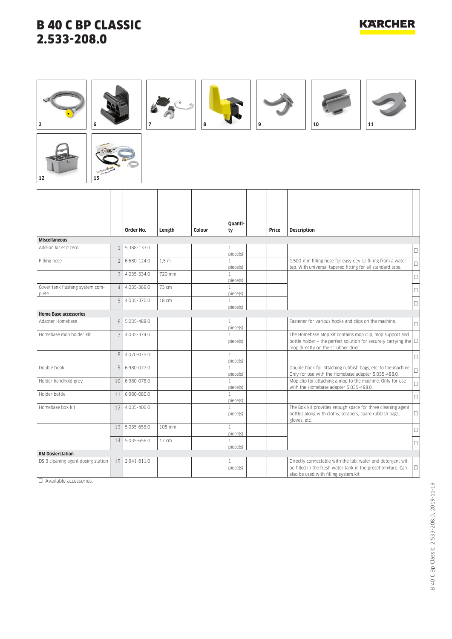**12 15**

## **KARCHER**



|                                          |                 | Order No.   | Length           | Colour | Ouanti-<br>ty            | Price | <b>Description</b>                                                                                                                                                         |        |
|------------------------------------------|-----------------|-------------|------------------|--------|--------------------------|-------|----------------------------------------------------------------------------------------------------------------------------------------------------------------------------|--------|
| <b>Miscellaneous</b>                     |                 |             |                  |        |                          |       |                                                                                                                                                                            |        |
| Add-on kit ecolzero                      | $\mathbf{1}$    | 5.388-133.0 |                  |        | $\mathbf{1}$<br>piece(s) |       |                                                                                                                                                                            | $\Box$ |
| Filling hose                             | $\overline{2}$  | 6.680-124.0 | 1.5 <sub>m</sub> |        | $\mathbf{1}$<br>piece(s) |       | 1,500-mm filling hose for easy device filling from a water<br>tap. With universal tapered fitting for all standard taps.                                                   | $\Box$ |
|                                          | 3               | 4.035-334.0 | 720 mm           |        | 1<br>piece(s)            |       |                                                                                                                                                                            | $\Box$ |
| Cover tank flushing system com-<br>plete | $\overline{4}$  | 4.035-369.0 | 73 cm            |        | $\mathbf{1}$<br>piece(s) |       |                                                                                                                                                                            | $\Box$ |
|                                          | 5               | 4.035-370.0 | 18 cm            |        | 1<br>piece(s)            |       |                                                                                                                                                                            | $\Box$ |
| <b>Home Base accessories</b>             |                 |             |                  |        |                          |       |                                                                                                                                                                            |        |
| Adapter Homebase                         | 6               | 5.035-488.0 |                  |        | 1<br>piece(s)            |       | Fastener for various hooks and clips on the machine.                                                                                                                       | $\Box$ |
| Homebase mop holder kit                  | $7\overline{ }$ | 4.035-374.0 |                  |        | $\mathbf{1}$<br>piece(s) |       | The Homebase Mop kit contains mop clip, mop support and<br>bottle holder - the perfect solution for securely carrying the $\square$<br>mop directly on the scrubber drier. |        |
|                                          | 8               | 4.070-075.0 |                  |        | $\mathbf{1}$<br>piece(s) |       |                                                                                                                                                                            | $\Box$ |
| Double hook                              | 9               | 6.980-077.0 |                  |        | 1<br>piece(s)            |       | Double hook for attaching rubbish bags, etc. to the machine.<br>Only for use with the Homebase adapter 5.035-488.0.                                                        | $\Box$ |
| Holder handhold grey                     | 10 <sup>1</sup> | 6.980-078.0 |                  |        | $\mathbf{1}$<br>piece(s) |       | Mop clip for attaching a mop to the machine. Only for use<br>with the Homebase adapter 5.035-488.0.                                                                        | $\Box$ |
| Holder bottle                            | 11              | 6.980-080.0 |                  |        | $\mathbf{1}$<br>piece(s) |       |                                                                                                                                                                            | $\Box$ |
| Homebase box kit                         | 12              | 4.035-406.0 |                  |        | $\mathbf{1}$<br>piece(s) |       | The Box kit provides enough space for three cleaning agent<br>bottles along with cloths, scrapers, spare rubbish bags,<br>gloves, etc.                                     | □      |
|                                          | 13 <sup>1</sup> | 5.035-655.0 | 105 mm           |        | $\mathbf{1}$<br>piece(s) |       |                                                                                                                                                                            | $\Box$ |
|                                          | 14              | 5.035-656.0 | 17 cm            |        | $\mathbf{1}$<br>piece(s) |       |                                                                                                                                                                            | □      |
| <b>RM Dosierstation</b>                  |                 |             |                  |        |                          |       |                                                                                                                                                                            |        |
| DS 3 cleaning agent dosing station       | 15              | 2.641-811.0 |                  |        | 1<br>piece(s)            |       | Directly connectable with the tab, water and detergent will<br>be filled in the fresh water tank in the preset mixture. Can<br>also be used with filling system kit.       | $\Box$ |

 $\Box$  Available accessories.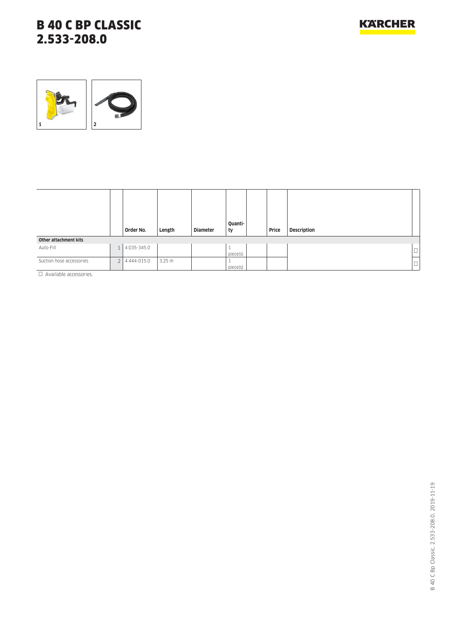

|                                                                         |    | Order No.   | Length           | <b>Diameter</b> | Quanti-<br>ty | Price | <b>Description</b> |                  |
|-------------------------------------------------------------------------|----|-------------|------------------|-----------------|---------------|-------|--------------------|------------------|
| Other attachment kits                                                   |    |             |                  |                 |               |       |                    |                  |
| Auto-Fill                                                               |    | 4.035-345.0 |                  |                 | piece(s)      |       |                    | m.<br>۰ س        |
| Suction hose accessories<br>The Association of the property of the con- | 21 | 4.444-015.0 | $3,25 \text{ m}$ |                 | piece(s)      |       |                    | $\Box$<br>' ا∟ . |

D Available accessories.